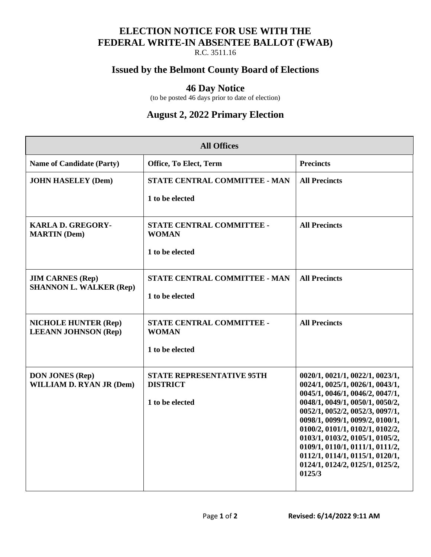### **ELECTION NOTICE FOR USE WITH THE FEDERAL WRITE-IN ABSENTEE BALLOT (FWAB)**

R.C. 3511.16

#### **Issued by the Belmont County Board of Elections**

#### **46 Day Notice**

(to be posted 46 days prior to date of election)

## **August 2, 2022 Primary Election**

| <b>All Offices</b>                                         |                                                     |                                                                    |  |
|------------------------------------------------------------|-----------------------------------------------------|--------------------------------------------------------------------|--|
| <b>Name of Candidate (Party)</b>                           | Office, To Elect, Term                              | <b>Precincts</b>                                                   |  |
| <b>JOHN HASELEY (Dem)</b>                                  | STATE CENTRAL COMMITTEE - MAN                       | <b>All Precincts</b>                                               |  |
|                                                            | 1 to be elected                                     |                                                                    |  |
| <b>KARLA D. GREGORY-</b><br><b>MARTIN</b> (Dem)            | STATE CENTRAL COMMITTEE -<br><b>WOMAN</b>           | <b>All Precincts</b>                                               |  |
|                                                            | 1 to be elected                                     |                                                                    |  |
| <b>JIM CARNES (Rep)</b><br><b>SHANNON L. WALKER (Rep)</b>  | STATE CENTRAL COMMITTEE - MAN                       | <b>All Precincts</b>                                               |  |
|                                                            | 1 to be elected                                     |                                                                    |  |
| <b>NICHOLE HUNTER (Rep)</b><br><b>LEEANN JOHNSON (Rep)</b> | STATE CENTRAL COMMITTEE -<br><b>WOMAN</b>           | <b>All Precincts</b>                                               |  |
|                                                            | 1 to be elected                                     |                                                                    |  |
| <b>DON JONES (Rep)</b><br><b>WILLIAM D. RYAN JR (Dem)</b>  | <b>STATE REPRESENTATIVE 95TH</b><br><b>DISTRICT</b> | 0020/1, 0021/1, 0022/1, 0023/1,<br>0024/1, 0025/1, 0026/1, 0043/1, |  |
|                                                            | 1 to be elected                                     | 0045/1, 0046/1, 0046/2, 0047/1,<br>0048/1, 0049/1, 0050/1, 0050/2, |  |
|                                                            |                                                     | 0052/1, 0052/2, 0052/3, 0097/1,<br>0098/1, 0099/1, 0099/2, 0100/1, |  |
|                                                            |                                                     | 0100/2, 0101/1, 0102/1, 0102/2,<br>0103/1, 0103/2, 0105/1, 0105/2, |  |
|                                                            |                                                     | 0109/1, 0110/1, 0111/1, 0111/2,<br>0112/1, 0114/1, 0115/1, 0120/1, |  |
|                                                            |                                                     | 0124/1, 0124/2, 0125/1, 0125/2,<br>0125/3                          |  |
|                                                            |                                                     |                                                                    |  |